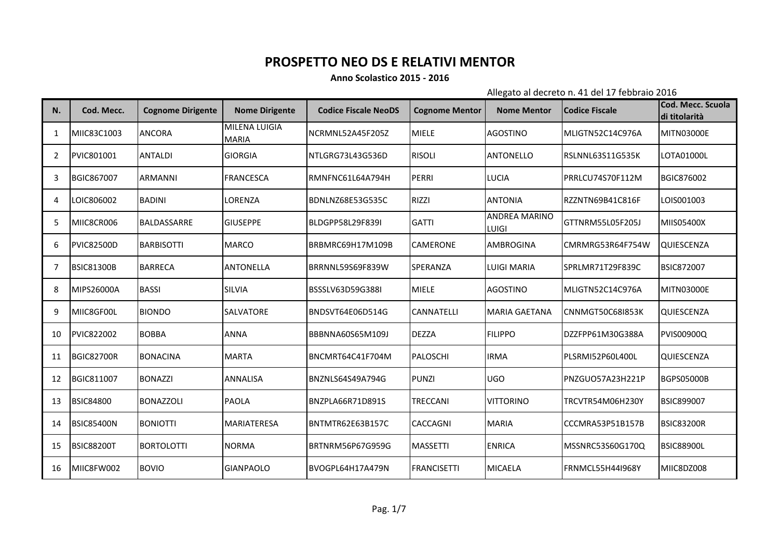## **PROSPETTO NEO DS E RELATIVI MENTOR**

## **Anno Scolastico 2015 - 2016**

Allegato al decreto n. 41 del 17 febbraio 2016

| N. | Cod. Mecc.        | <b>Cognome Dirigente</b> | <b>Nome Dirigente</b>  | <b>Codice Fiscale NeoDS</b> | <b>Cognome Mentor</b> | <b>Nome Mentor</b>            | <b>Codice Fiscale</b> | Cod. Mecc. Scuola<br>di titolarità |
|----|-------------------|--------------------------|------------------------|-----------------------------|-----------------------|-------------------------------|-----------------------|------------------------------------|
|    | MIIC83C1003       | <b>ANCORA</b>            | MILENA LUIGIA<br>MARIA | NCRMNL52A45F205Z            | <b>MIELE</b>          | <b>AGOSTINO</b>               | MLIGTN52C14C976A      | MITN03000E                         |
| 2  | PVIC801001        | <b>ANTALDI</b>           | <b>GIORGIA</b>         | NTLGRG73L43G536D            | <b>RISOLI</b>         | <b>ANTONELLO</b>              | RSLNNL63S11G535K      | LOTA01000L                         |
| 3  | BGIC867007        | <b>ARMANNI</b>           | <b>FRANCESCA</b>       | RMNFNC61L64A794H            | PERRI                 | LUCIA                         | PRRLCU74S70F112M      | BGIC876002                         |
| 4  | LOIC806002        | <b>BADINI</b>            | LORENZA                | BDNLNZ68E53G535C            | <b>RIZZI</b>          | <b>ANTONIA</b>                | RZZNTN69B41C816F      | LOIS001003                         |
| 5  | MIIC8CR006        | BALDASSARRE              | <b>GIUSEPPE</b>        | BLDGPP58L29F839I            | <b>GATTI</b>          | <b>ANDREA MARINO</b><br>LUIGI | GTTNRM55L05F205J      | MIIS05400X                         |
| 6  | <b>PVIC82500D</b> | <b>BARBISOTTI</b>        | <b>MARCO</b>           | BRBMRC69H17M109B            | <b>CAMERONE</b>       | <b>AMBROGINA</b>              | CMRMRG53R64F754W      | <b>QUIESCENZA</b>                  |
| 7  | <b>BSIC81300B</b> | <b>BARRECA</b>           | <b>ANTONELLA</b>       | BRRNNL59S69F839W            | SPERANZA              | LUIGI MARIA                   | SPRLMR71T29F839C      | <b>BSIC872007</b>                  |
| 8  | MIPS26000A        | <b>BASSI</b>             | <b>SILVIA</b>          | BSSSLV63D59G388I            | <b>MIELE</b>          | <b>AGOSTINO</b>               | MLIGTN52C14C976A      | <b>MITN03000E</b>                  |
| q  | MIIC8GF00L        | <b>BIONDO</b>            | <b>SALVATORE</b>       | BNDSVT64E06D514G            | CANNATELLI            | <b>MARIA GAETANA</b>          | CNNMGT50C68I853K      | QUIESCENZA                         |
| 10 | PVIC822002        | <b>BOBBA</b>             | <b>ANNA</b>            | BBBNNA60S65M109J            | <b>DEZZA</b>          | <b>FILIPPO</b>                | DZZFPP61M30G388A      | <b>PVIS00900Q</b>                  |
| 11 | <b>BGIC82700R</b> | <b>BONACINA</b>          | <b>MARTA</b>           | BNCMRT64C41F704M            | PALOSCHI              | <b>IRMA</b>                   | PLSRMI52P60L400L      | <b>QUIESCENZA</b>                  |
| 12 | BGIC811007        | <b>BONAZZI</b>           | <b>ANNALISA</b>        | BNZNLS64S49A794G            | <b>PUNZI</b>          | <b>UGO</b>                    | PNZGUO57A23H221P      | <b>BGPS05000B</b>                  |
| 13 | <b>BSIC84800</b>  | <b>BONAZZOLI</b>         | PAOLA                  | BNZPLA66R71D891S            | TRECCANI              | <b>VITTORINO</b>              | TRCVTR54M06H230Y      | <b>BSIC899007</b>                  |
| 14 | <b>BSIC85400N</b> | <b>BONIOTTI</b>          | <b>MARIATERESA</b>     | BNTMTR62E63B157C            | <b>CACCAGNI</b>       | <b>MARIA</b>                  | CCCMRA53P51B157B      | <b>BSIC83200R</b>                  |
| 15 | <b>BSIC88200T</b> | <b>BORTOLOTTI</b>        | <b>NORMA</b>           | BRTNRM56P67G959G            | <b>MASSETTI</b>       | <b>ENRICA</b>                 | MSSNRC53S60G170Q      | <b>BSIC88900L</b>                  |
| 16 | MIIC8FW002        | <b>BOVIO</b>             | <b>GIANPAOLO</b>       | BVOGPL64H17A479N            | <b>FRANCISETTI</b>    | MICAELA                       | FRNMCL55H44I968Y      | MIIC8DZ008                         |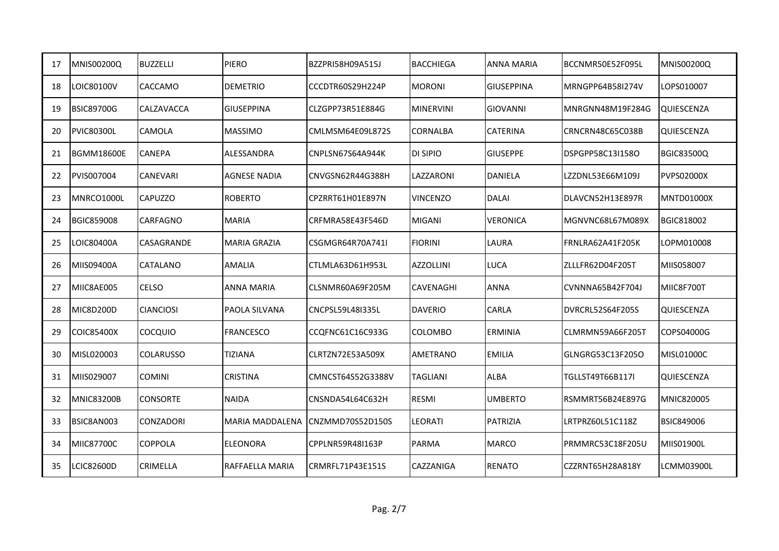| 17 | MNIS00200Q        | <b>BUZZELLI</b>  | <b>PIERO</b>           | BZZPRI58H09A515J  | <b>BACCHIEGA</b> | ANNA MARIA        | BCCNMR50E52F095L | MNIS00200Q        |
|----|-------------------|------------------|------------------------|-------------------|------------------|-------------------|------------------|-------------------|
| 18 | LOIC80100V        | CACCAMO          | <b>DEMETRIO</b>        | CCCDTR60S29H224P  | <b>MORONI</b>    | <b>GIUSEPPINA</b> | MRNGPP64B58I274V | LOPS010007        |
| 19 | <b>BSIC89700G</b> | CALZAVACCA       | <b>GIUSEPPINA</b>      | CLZGPP73R51E884G  | <b>MINERVINI</b> | <b>GIOVANNI</b>   | MNRGNN48M19F284G | QUIESCENZA        |
| 20 | <b>PVIC80300L</b> | <b>CAMOLA</b>    | IMASSIMO               | CMLMSM64E09L872S  | <b>CORNALBA</b>  | <b>CATERINA</b>   | CRNCRN48C65C038B | QUIESCENZA        |
| 21 | <b>BGMM18600E</b> | <b>CANEPA</b>    | ALESSANDRA             | CNPLSN67S64A944K  | <b>DI SIPIO</b>  | <b>GIUSEPPE</b>   | DSPGPP58C13I158O | <b>BGIC83500Q</b> |
| 22 | PVIS007004        | <b>CANEVARI</b>  | <b>AGNESE NADIA</b>    | CNVGSN62R44G388H  | LAZZARONI        | <b>DANIELA</b>    | LZZDNL53E66M109J | <b>PVPS02000X</b> |
| 23 | MNRCO1000L        | <b>CAPUZZO</b>   | <b>ROBERTO</b>         | CPZRRT61H01E897N  | <b>VINCENZO</b>  | <b>DALAI</b>      | DLAVCN52H13E897R | <b>MNTD01000X</b> |
| 24 | <b>BGIC859008</b> | <b>CARFAGNO</b>  | <b>MARIA</b>           | CRFMRA58E43F546D  | <b>MIGANI</b>    | <b>VERONICA</b>   | MGNVNC68L67M089X | BGIC818002        |
| 25 | LOIC80400A        | CASAGRANDE       | IMARIA GRAZIA          | CSGMGR64R70A741L  | <b>FIORINI</b>   | LAURA             | FRNLRA62A41F205K | LOPM010008        |
| 26 | MIIS09400A        | <b>CATALANO</b>  | <b>AMALIA</b>          | CTLMLA63D61H953L  | <b>AZZOLLINI</b> | <b>LUCA</b>       | ZLLLFR62D04F205T | MIIS058007        |
| 27 | MIIC8AE005        | <b>CELSO</b>     | <b>ANNA MARIA</b>      | CLSNMR60A69F205M  | CAVENAGHI        | <b>ANNA</b>       | CVNNNA65B42F704J | MIIC8F700T        |
| 28 | MIC8D200D         | <b>CIANCIOSI</b> | <b>PAOLA SILVANA</b>   | CNCPSL59L48I335L  | <b>DAVERIO</b>   | CARLA             | DVRCRL52S64F205S | QUIESCENZA        |
| 29 | COIC85400X        | <b>COCQUIO</b>   | <b>FRANCESCO</b>       | CCQFNC61C16C933G  | COLOMBO          | <b>ERMINIA</b>    | CLMRMN59A66F205T | COPS04000G        |
| 30 | MISL020003        | <b>COLARUSSO</b> | <b>TIZIANA</b>         | CLRTZN72E53A509X  | <b>AMETRANO</b>  | <b>EMILIA</b>     | GLNGRG53C13F205O | MISL01000C        |
| 31 | MIIS029007        | <b>COMINI</b>    | <b>CRISTINA</b>        | CMNCST64S52G3388V | <b>TAGLIANI</b>  | <b>ALBA</b>       | TGLLST49T66B117I | QUIESCENZA        |
| 32 | <b>MNIC83200B</b> | <b>CONSORTE</b>  | <b>NAIDA</b>           | CNSNDA54L64C632H  | <b>RESMI</b>     | <b>UMBERTO</b>    | RSMMRT56B24E897G | <b>MNIC820005</b> |
| 33 | BSIC8AN003        | <b>CONZADORI</b> | MARIA MADDALENA        | CNZMMD70S52D150S  | <b>LEORATI</b>   | PATRIZIA          | LRTPRZ60L51C118Z | <b>BSIC849006</b> |
| 34 | <b>MIIC87700C</b> | <b>COPPOLA</b>   | <b>ELEONORA</b>        | CPPLNR59R48I163P  | <b>PARMA</b>     | <b>MARCO</b>      | PRMMRC53C18F205U | MIIS01900L        |
| 35 | LCIC82600D        | <b>CRIMELLA</b>  | <b>RAFFAELLA MARIA</b> | CRMRFL71P43E151S  | CAZZANIGA        | <b>RENATO</b>     | CZZRNT65H28A818Y | LCMM03900L        |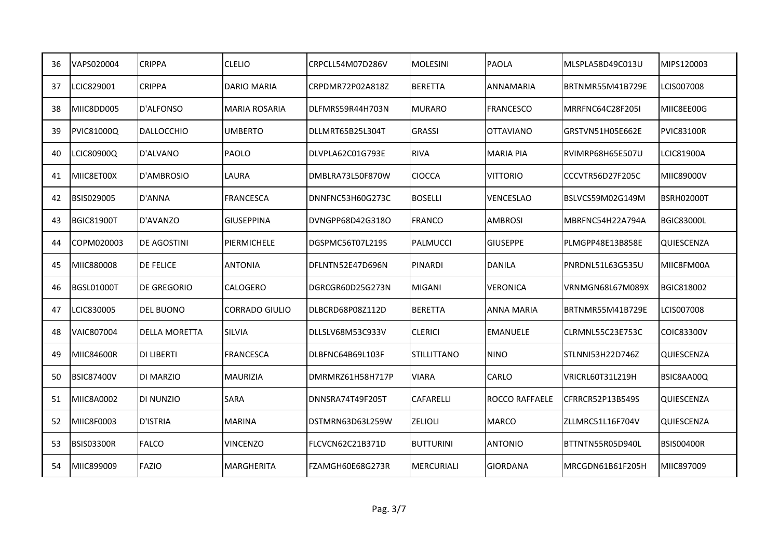| 36 | VAPS020004        | <b>CRIPPA</b>        | <b>CLELIO</b>      | CRPCLL54M07D286V | <b>MOLESINI</b>    | <b>PAOLA</b>     | MLSPLA58D49C013U | MIPS120003        |
|----|-------------------|----------------------|--------------------|------------------|--------------------|------------------|------------------|-------------------|
| 37 | LCIC829001        | <b>CRIPPA</b>        | <b>DARIO MARIA</b> | CRPDMR72P02A818Z | <b>BERETTA</b>     | <b>ANNAMARIA</b> | BRTNMR55M41B729E | LCIS007008        |
| 38 | MIIC8DD005        | D'ALFONSO            | MARIA ROSARIA      | DLFMRS59R44H703N | <b>MURARO</b>      | <b>FRANCESCO</b> | MRRFNC64C28F205I | MIIC8EE00G        |
| 39 | PVIC81000Q        | <b>DALLOCCHIO</b>    | <b>UMBERTO</b>     | DLLMRT65B25L304T | <b>GRASSI</b>      | <b>OTTAVIANO</b> | GRSTVN51H05E662E | <b>PVIC83100R</b> |
| 40 | LCIC80900Q        | D'ALVANO             | PAOLO              | DLVPLA62C01G793E | <b>RIVA</b>        | <b>MARIA PIA</b> | RVIMRP68H65E507U | LCIC81900A        |
| 41 | MIIC8ET00X        | D'AMBROSIO           | LAURA              | DMBLRA73L50F870W | <b>CIOCCA</b>      | <b>VITTORIO</b>  | CCCVTR56D27F205C | <b>MIIC89000V</b> |
| 42 | BSIS029005        | D'ANNA               | <b>FRANCESCA</b>   | DNNFNC53H60G273C | <b>BOSELLI</b>     | <b>VENCESLAO</b> | BSLVCS59M02G149M | <b>BSRH02000T</b> |
| 43 | <b>BGIC81900T</b> | D'AVANZO             | <b>GIUSEPPINA</b>  | DVNGPP68D42G318O | <b>FRANCO</b>      | <b>AMBROSI</b>   | MBRFNC54H22A794A | <b>BGIC83000L</b> |
| 44 | COPM020003        | <b>DE AGOSTINI</b>   | PIERMICHELE        | DGSPMC56T07L219S | PALMUCCI           | <b>GIUSEPPE</b>  | PLMGPP48E13B858E | QUIESCENZA        |
| 45 | MIIC880008        | <b>DE FELICE</b>     | <b>ANTONIA</b>     | DFLNTN52E47D696N | <b>PINARDI</b>     | <b>DANILA</b>    | PNRDNL51L63G535U | MIIC8FM00A        |
| 46 | <b>BGSL01000T</b> | DE GREGORIO          | CALOGERO           | DGRCGR60D25G273N | <b>MIGANI</b>      | <b>VERONICA</b>  | VRNMGN68L67M089X | BGIC818002        |
| 47 | LCIC830005        | <b>DEL BUONO</b>     | CORRADO GIULIO     | DLBCRD68P08Z112D | <b>BERETTA</b>     | ANNA MARIA       | BRTNMR55M41B729E | LCIS007008        |
| 48 | VAIC807004        | <b>DELLA MORETTA</b> | <b>SILVIA</b>      | DLLSLV68M53C933V | <b>CLERICI</b>     | <b>EMANUELE</b>  | CLRMNL55C23E753C | <b>COIC83300V</b> |
| 49 | MIIC84600R        | <b>DI LIBERTI</b>    | <b>FRANCESCA</b>   | DLBFNC64B69L103F | <b>STILLITTANO</b> | <b>NINO</b>      | STLNNI53H22D746Z | QUIESCENZA        |
| 50 | <b>BSIC87400V</b> | DI MARZIO            | <b>MAURIZIA</b>    | DMRMRZ61H58H717P | <b>VIARA</b>       | CARLO            | VRICRL60T31L219H | BSIC8AA00Q        |
| 51 | MIIC8A0002        | DI NUNZIO            | SARA               | DNNSRA74T49F205T | CAFARELLI          | ROCCO RAFFAELE   | CFRRCR52P13B549S | QUIESCENZA        |
| 52 | MIIC8F0003        | <b>D'ISTRIA</b>      | <b>MARINA</b>      | DSTMRN63D63L259W | ZELIOLI            | <b>MARCO</b>     | ZLLMRC51L16F704V | QUIESCENZA        |
| 53 | <b>BSIS03300R</b> | <b>FALCO</b>         | VINCENZO           | FLCVCN62C21B371D | <b>BUTTURINI</b>   | ANTONIO          | BTTNTN55R05D940L | <b>BSIS00400R</b> |
| 54 | MIIC899009        | <b>FAZIO</b>         | MARGHERITA         | FZAMGH60E68G273R | <b>MERCURIALI</b>  | <b>GIORDANA</b>  | MRCGDN61B61F205H | MIIC897009        |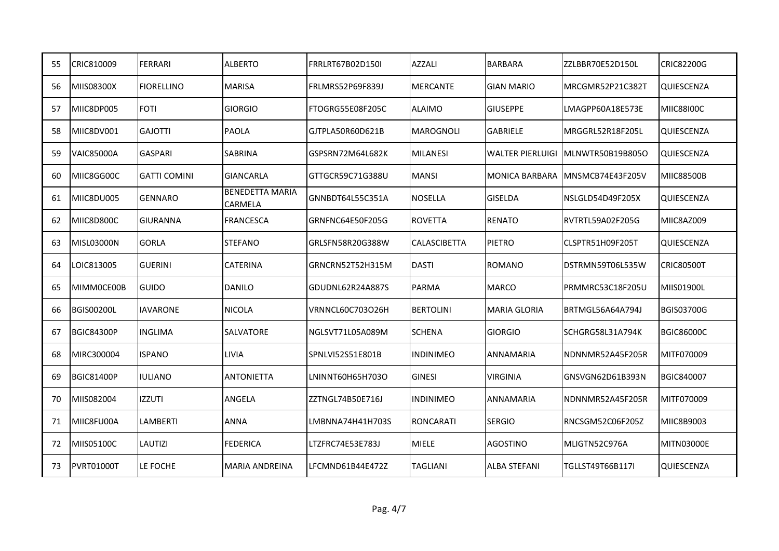| 55 | CRIC810009        | FERRARI             | <b>ALBERTO</b>                    | FRRLRT67B02D150I        | <b>AZZALI</b>    | <b>BARBARA</b>          | ZZLBBR70E52D150L                | <b>CRIC82200G</b> |
|----|-------------------|---------------------|-----------------------------------|-------------------------|------------------|-------------------------|---------------------------------|-------------------|
| 56 | MIIS08300X        | <b>FIORELLINO</b>   | <b>MARISA</b>                     | <b>FRLMRS52P69F839J</b> | <b>MERCANTE</b>  | <b>GIAN MARIO</b>       | MRCGMR52P21C382T                | QUIESCENZA        |
| 57 | MIIC8DP005        | <b>FOTI</b>         | <b>GIORGIO</b>                    | FTOGRG55E08F205C        | <b>ALAIMO</b>    | <b>GIUSEPPE</b>         | LMAGPP60A18E573E                | <b>MIIC88I00C</b> |
| 58 | MIIC8DV001        | <b>GAJOTTI</b>      | <b>PAOLA</b>                      | GJTPLA50R60D621B        | <b>MAROGNOLI</b> | <b>GABRIELE</b>         | MRGGRL52R18F205L                | QUIESCENZA        |
| 59 | <b>VAIC85000A</b> | <b>GASPARI</b>      | <b>SABRINA</b>                    | GSPSRN72M64L682K        | <b>MILANESI</b>  | <b>WALTER PIERLUIGI</b> | MLNWTR50B19B805O                | QUIESCENZA        |
| 60 | MIIC8GG00C        | <b>GATTI COMINI</b> | <b>GIANCARLA</b>                  | GTTGCR59C71G388U        | <b>MANSI</b>     |                         | MONICA BARBARA MNSMCB74E43F205V | <b>MIIC88500B</b> |
| 61 | MIIC8DU005        | <b>GENNARO</b>      | <b>BENEDETTA MARIA</b><br>CARMELA | GNNBDT64L55C351A        | <b>NOSELLA</b>   | <b>GISELDA</b>          | NSLGLD54D49F205X                | QUIESCENZA        |
| 62 | MIIC8D800C        | <b>GIURANNA</b>     | <b>FRANCESCA</b>                  | GRNFNC64E50F205G        | <b>ROVETTA</b>   | <b>RENATO</b>           | RVTRTL59A02F205G                | MIIC8AZ009        |
| 63 | <b>MISL03000N</b> | <b>GORLA</b>        | <b>STEFANO</b>                    | GRLSFN58R20G388W        | CALASCIBETTA     | <b>PIETRO</b>           | CLSPTR51H09F205T                | QUIESCENZA        |
| 64 | LOIC813005        | <b>GUERINI</b>      | <b>CATERINA</b>                   | GRNCRN52T52H315M        | <b>DASTI</b>     | <b>ROMANO</b>           | DSTRMN59T06L535W                | <b>CRIC80500T</b> |
| 65 | MIMMOCE00B        | GUIDO               | <b>DANILO</b>                     | GDUDNL62R24A887S        | PARMA            | <b>MARCO</b>            | PRMMRC53C18F205U                | MIIS01900L        |
| 66 | <b>BGIS00200L</b> | <b>IAVARONE</b>     | <b>NICOLA</b>                     | <b>VRNNCL60C703O26H</b> | <b>BERTOLINI</b> | <b>MARIA GLORIA</b>     | BRTMGL56A64A794J                | <b>BGIS03700G</b> |
| 67 | <b>BGIC84300P</b> | <b>INGLIMA</b>      | SALVATORE                         | NGLSVT71L05A089M        | <b>SCHENA</b>    | <b>GIORGIO</b>          | SCHGRG58L31A794K                | <b>BGIC86000C</b> |
| 68 | MIRC300004        | <b>ISPANO</b>       | LIVIA                             | SPNLVI52S51E801B        | <b>INDINIMEO</b> | ANNAMARIA               | NDNNMR52A45F205R                | MITF070009        |
| 69 | <b>BGIC81400P</b> | <b>IULIANO</b>      | <b>ANTONIETTA</b>                 | LNINNT60H65H703O        | <b>GINESI</b>    | <b>VIRGINIA</b>         | GNSVGN62D61B393N                | BGIC840007        |
| 70 | MIIS082004        | <b>IZZUTI</b>       | ANGELA                            | ZZTNGL74B50E716J        | <b>INDINIMEO</b> | ANNAMARIA               | NDNNMR52A45F205R                | MITF070009        |
| 71 | MIIC8FU00A        | <b>LAMBERTI</b>     | <b>ANNA</b>                       | LMBNNA74H41H703S        | <b>RONCARATI</b> | <b>SERGIO</b>           | RNCSGM52C06F205Z                | MIIC8B9003        |
| 72 | MIIS05100C        | <b>LAUTIZI</b>      | <b>FEDERICA</b>                   | LTZFRC74E53E783J        | <b>MIELE</b>     | <b>AGOSTINO</b>         | MLIGTN52C976A                   | MITN03000E        |
| 73 | PVRT01000T        | LE FOCHE            | <b>MARIA ANDREINA</b>             | LFCMND61B44E472Z        | <b>TAGLIANI</b>  | <b>ALBA STEFANI</b>     | TGLLST49T66B117I                | QUIESCENZA        |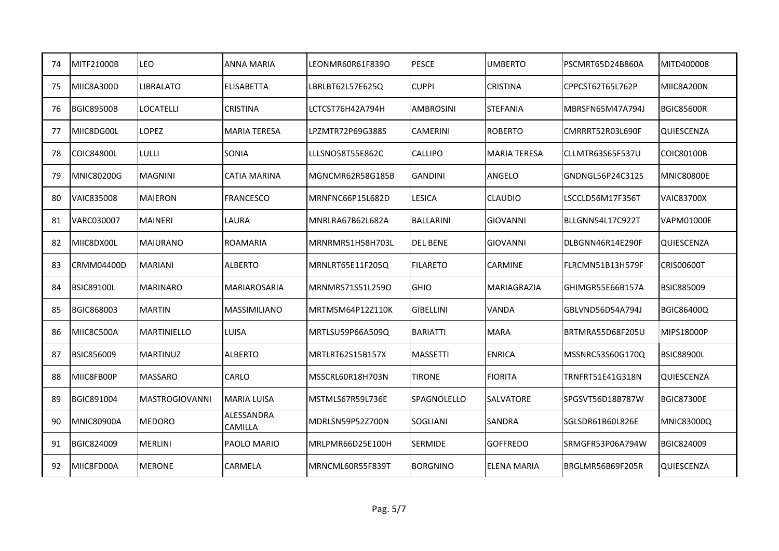| 74 | MITF21000B        | <b>LEO</b>            | ANNA MARIA            | LEONMR60R61F839O | <b>PESCE</b>     | UMBERTO             | PSCMRT65D24B860A  | MITD400008        |
|----|-------------------|-----------------------|-----------------------|------------------|------------------|---------------------|-------------------|-------------------|
| 75 | MIIC8A300D        | <b>LIBRALATO</b>      | <b>ELISABETTA</b>     | LBRLBT62L57E625Q | <b>CUPPI</b>     | <b>CRISTINA</b>     | CPPCST62T65L762P  | MIIC8A200N        |
| 76 | <b>BGIC89500B</b> | <b>LOCATELLI</b>      | <b>CRISTINA</b>       | LCTCST76H42A794H | <b>AMBROSINI</b> | <b>STEFANIA</b>     | MBRSFN65M47A794J  | <b>BGIC85600R</b> |
| 77 | MIIC8DG00L        | <b>LOPEZ</b>          | <b>MARIA TERESA</b>   | LPZMTR72P69G388S | <b>CAMERINI</b>  | <b>ROBERTO</b>      | ICMRRRT52R03L690F | <b>QUIESCENZA</b> |
| 78 | COIC84800L        | LULLI                 | SONIA                 | LLLSNO58T55E862C | CALLIPO          | <b>MARIA TERESA</b> | CLLMTR63S65F537U  | <b>COIC80100B</b> |
| 79 | <b>MNIC80200G</b> | <b>MAGNINI</b>        | <b>CATIA MARINA</b>   | MGNCMR62R58G185B | <b>GANDINI</b>   | ANGELO              | GNDNGL56P24C312S  | <b>MNIC80800E</b> |
| 80 | <b>VAIC835008</b> | <b>MAIERON</b>        | <b>FRANCESCO</b>      | MRNFNC66P15L682D | <b>LESICA</b>    | <b>CLAUDIO</b>      | LSCCLD56M17F356T  | <b>VAIC83700X</b> |
| 81 | VARC030007        | <b>MAINERI</b>        | LAURA                 | MNRLRA67B62L682A | <b>BALLARINI</b> | <b>GIOVANNI</b>     | BLLGNN54L17C922T  | <b>VAPM01000E</b> |
| 82 | MIIC8DX00L        | <b>MAIURANO</b>       | <b>ROAMARIA</b>       | MRNRMR51H58H703L | <b>DEL BENE</b>  | <b>GIOVANNI</b>     | DLBGNN46R14E290F  | QUIESCENZA        |
| 83 | <b>CRMM04400D</b> | <b>MARIANI</b>        | <b>ALBERTO</b>        | MRNLRT65E11F205Q | <b>FILARETO</b>  | CARMINE             | FLRCMN51B13H579F  | <b>CRIS00600T</b> |
| 84 | <b>BSIC89100L</b> | <b>MARINARO</b>       | MARIAROSARIA          | MRNMRS71S51L259O | <b>GHIO</b>      | MARIAGRAZIA         | GHIMGR55E66B157A  | BSIC885009        |
| 85 | BGIC868003        | <b>MARTIN</b>         | <b>MASSIMILIANO</b>   | MRTMSM64P12Z110K | <b>GIBELLINI</b> | <b>VANDA</b>        | lGBLVND56D54A794J | <b>BGIC86400Q</b> |
| 86 | MIIC8C500A        | <b>MARTINIELLO</b>    | LUISA                 | MRTLSU59P66A509Q | <b>BARIATTI</b>  | <b>MARA</b>         | BRTMRA55D68F205U  | MIPS18000P        |
| 87 | <b>BSIC856009</b> | <b>MARTINUZ</b>       | <b>ALBERTO</b>        | MRTLRT62S15B157X | <b>MASSETTI</b>  | <b>ENRICA</b>       | MSSNRC53S60G170Q  | <b>BSIC88900L</b> |
| 88 | MIIC8FB00P        | <b>MASSARO</b>        | CARLO                 | MSSCRL60R18H703N | <b>TIRONE</b>    | <b>FIORITA</b>      | TRNFRT51E41G318N  | QUIESCENZA        |
| 89 | BGIC891004        | <b>MASTROGIOVANNI</b> | <b>MARIA LUISA</b>    | MSTMLS67R59L736E | SPAGNOLELLO      | SALVATORE           | SPGSVT56D18B787W  | <b>BGIC87300E</b> |
| 90 | <b>MNIC80900A</b> | <b>MEDORO</b>         | ALESSANDRA<br>CAMILLA | MDRLSN59P52Z700N | SOGLIANI         | SANDRA              | SGLSDR61B60L826E  | <b>MNIC83000Q</b> |
| 91 | BGIC824009        | MERLINI               | PAOLO MARIO           | MRLPMR66D25E100H | <b>SERMIDE</b>   | <b>GOFFREDO</b>     | SRMGFR53P06A794W  | BGIC824009        |
| 92 | MIIC8FD00A        | <b>MERONE</b>         | CARMELA               | MRNCML60R55F839T | <b>BORGNINO</b>  | <b>ELENA MARIA</b>  | BRGLMR56B69F205R  | QUIESCENZA        |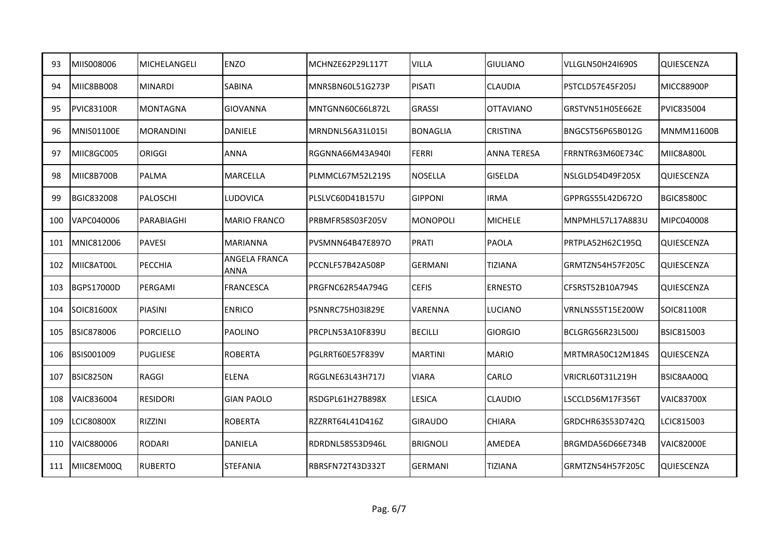| 93  | MIIS008006        | MICHELANGELI     | <b>ENZO</b>                  | MCHNZE62P29L117T | <b>VILLA</b>    | <b>GIULIANO</b>    | <b>VLLGLN50H24I690S</b> | QUIESCENZA        |
|-----|-------------------|------------------|------------------------------|------------------|-----------------|--------------------|-------------------------|-------------------|
| 94  | MIIC8BB008        | <b>MINARDI</b>   | <b>SABINA</b>                | MNRSBN60L51G273P | <b>PISATI</b>   | <b>CLAUDIA</b>     | PSTCLD57E45F205J        | MICC88900P        |
| 95  | <b>PVIC83100R</b> | <b>MONTAGNA</b>  | <b>GIOVANNA</b>              | MNTGNN60C66L872L | <b>GRASSI</b>   | <b>OTTAVIANO</b>   | GRSTVN51H05E662E        | <b>PVIC835004</b> |
| 96  | <b>MNIS01100E</b> | <b>MORANDINI</b> | <b>DANIELE</b>               | MRNDNL56A31L015I | <b>BONAGLIA</b> | <b>CRISTINA</b>    | BNGCST56P65B012G        | <b>MNMM11600B</b> |
| 97  | MIIC8GC005        | <b>ORIGGI</b>    | <b>ANNA</b>                  | RGGNNA66M43A940I | <b>FERRI</b>    | <b>ANNA TERESA</b> | FRRNTR63M60E734C        | MIIC8A800L        |
| 98  | MIIC8B700B        | PALMA            | <b>MARCELLA</b>              | PLMMCL67M52L219S | <b>NOSELLA</b>  | <b>GISELDA</b>     | NSLGLD54D49F205X        | QUIESCENZA        |
| 99  | <b>BGIC832008</b> | <b>PALOSCHI</b>  | LUDOVICA                     | PLSLVC60D41B157U | <b>GIPPONI</b>  | <b>IRMA</b>        | GPPRGS55L42D672O        | <b>BGIC85800C</b> |
| 100 | VAPC040006        | PARABIAGHI       | <b>MARIO FRANCO</b>          | PRBMFR58S03F205V | <b>MONOPOLI</b> | <b>MICHELE</b>     | MNPMHL57L17A883U        | MIPC040008        |
| 101 | MNIC812006        | <b>PAVESI</b>    | <b>MARIANNA</b>              | PVSMNN64B47E897O | <b>PRATI</b>    | <b>PAOLA</b>       | PRTPLA52H62C195Q        | QUIESCENZA        |
| 102 | MIIC8AT00L        | PECCHIA          | ANGELA FRANCA<br><b>ANNA</b> | PCCNLF57B42A508P | <b>GERMANI</b>  | <b>TIZIANA</b>     | GRMTZN54H57F205C        | QUIESCENZA        |
| 103 | BGPS17000D        | PERGAMI          | <b>FRANCESCA</b>             | PRGFNC62R54A794G | <b>CEFIS</b>    | <b>ERNESTO</b>     | CFSRST52B10A794S        | QUIESCENZA        |
| 104 | SOIC81600X        | <b>PIASINI</b>   | <b>ENRICO</b>                | PSNNRC75H03I829E | <b>VARENNA</b>  | LUCIANO            | VRNLNS55T15E200W        | SOIC81100R        |
| 105 | <b>BSIC878006</b> | PORCIELLO        | PAOLINO                      | PRCPLN53A10F839U | <b>BECILLI</b>  | <b>GIORGIO</b>     | BCLGRG56R23L500J        | <b>BSIC815003</b> |
| 106 | BSIS001009        | <b>PUGLIESE</b>  | <b>ROBERTA</b>               | PGLRRT60E57F839V | <b>MARTINI</b>  | <b>MARIO</b>       | MRTMRA50C12M184S        | QUIESCENZA        |
| 107 | BSIC8250N         | <b>RAGGI</b>     | <b>ELENA</b>                 | RGGLNE63L43H717J | <b>VIARA</b>    | CARLO              | VRICRL60T31L219H        | BSIC8AA00Q        |
| 108 | VAIC836004        | <b>RESIDORI</b>  | <b>GIAN PAOLO</b>            | RSDGPL61H27B898X | <b>LESICA</b>   | <b>CLAUDIO</b>     | LSCCLD56M17F356T        | <b>VAIC83700X</b> |
| 109 | <b>LCIC80800X</b> | <b>RIZZINI</b>   | <b>ROBERTA</b>               | RZZRRT64L41D416Z | <b>GIRAUDO</b>  | <b>CHIARA</b>      | GRDCHR63S53D742Q        | LCIC815003        |
| 110 | VAIC880006        | <b>RODARI</b>    | <b>DANIELA</b>               | RDRDNL58S53D946L | <b>BRIGNOLI</b> | AMEDEA             | BRGMDA56D66E734B        | <b>VAIC82000E</b> |
| 111 | MIIC8EM00Q        | <b>RUBERTO</b>   | <b>STEFANIA</b>              | RBRSFN72T43D332T | <b>GERMANI</b>  | <b>TIZIANA</b>     | GRMTZN54H57F205C        | QUIESCENZA        |